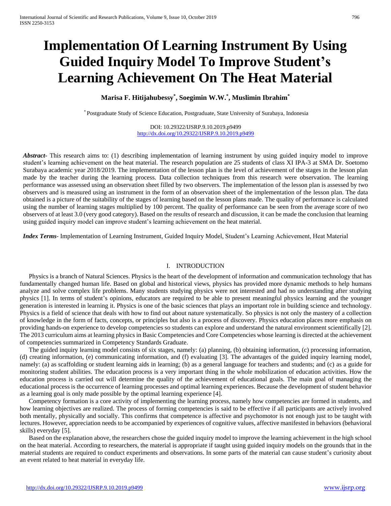# **Implementation Of Learning Instrument By Using Guided Inquiry Model To Improve Student's Learning Achievement On The Heat Material**

# **Marisa F. Hitijahubessy\* , Soegimin W.W.\* , Muslimin Ibrahim\***

\* Postgraduate Study of Science Education, Postgraduate, State University of Surabaya, Indonesia

DOI: 10.29322/IJSRP.9.10.2019.p9499 <http://dx.doi.org/10.29322/IJSRP.9.10.2019.p9499>

*Abstract* This research aims to: (1) describing implementation of learning instrument by using guided inquiry model to improve student's learning achievement on the heat material. The research population are 25 students of class XI IPA-3 at SMA Dr. Soetomo Surabaya academic year 2018/2019. The implementation of the lesson plan is the level of achievement of the stages in the lesson plan made by the teacher during the learning process. Data collection techniques from this research were observation. The learning performance was assessed using an observation sheet filled by two observers. The implementation of the lesson plan is assessed by two observers and is measured using an instrument in the form of an observation sheet of the implementation of the lesson plan. The data obtained is a picture of the suitability of the stages of learning based on the lesson plans made. The quality of performance is calculated using the number of learning stages multiplied by 100 percent. The quality of performance can be seen from the average score of two observers of at least 3.0 (very good category). Based on the results of research and discussion, it can be made the conclusion that learning using guided inquiry model can improve student's learning achievement on the heat material.

*Index Terms*- Implementation of Learning Instrument, Guided Inquiry Model, Student's Learning Achievement, Heat Material

# I. INTRODUCTION

Physics is a branch of Natural Sciences. Physics is the heart of the development of information and communication technology that has fundamentally changed human life. Based on global and historical views, physics has provided more dynamic methods to help humans analyze and solve complex life problems. Many students studying physics were not interested and had no understanding after studying physics [1]. In terms of student's opinions, educators are required to be able to present meaningful physics learning and the younger generation is interested in learning it. Physics is one of the basic sciences that plays an important role in building science and technology. Physics is a field of science that deals with how to find out about nature systematically. So physics is not only the mastery of a collection of knowledge in the form of facts, concepts, or principles but also is a process of discovery. Physics education places more emphasis on providing hands-on experience to develop competencies so students can explore and understand the natural environment scientifically [2]. The 2013 curriculum aims at learning physics in Basic Competencies and Core Competencies whose learning is directed at the achievement of competencies summarized in Competency Standards Graduate.

The guided inquiry learning model consists of six stages, namely: (a) planning, (b) obtaining information, (c) processing information, (d) creating information, (e) communicating information, and (f) evaluating [3]. The advantages of the guided inquiry learning model, namely: (a) as scaffolding or student learning aids in learning; (b) as a general language for teachers and students; and (c) as a guide for monitoring student abilities. The education process is a very important thing in the whole mobilization of education activities. How the education process is carried out will determine the quality of the achievement of educational goals. The main goal of managing the educational process is the occurrence of learning processes and optimal learning experiences. Because the development of student behavior as a learning goal is only made possible by the optimal learning experience [4].

Competency formation is a core activity of implementing the learning process, namely how competencies are formed in students, and how learning objectives are realized. The process of forming competencies is said to be effective if all participants are actively involved both mentally, physically and socially. This confirms that competence is affective and psychomotor is not enough just to be taught with lectures. However, appreciation needs to be accompanied by experiences of cognitive values, affective manifested in behaviors (behavioral skills) everyday [5].

Based on the explanation above, the researchers chose the guided inquiry model to improve the learning achievement in the high school on the heat material. According to researchers, the material is appropriate if taught using guided inquiry models on the grounds that in the material students are required to conduct experiments and observations. In some parts of the material can cause student's curiosity about an event related to heat material in everyday life.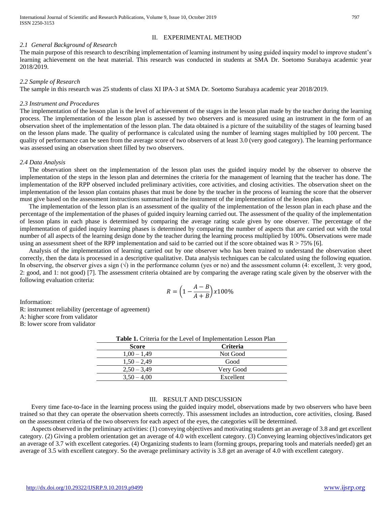# *2.1 General Background of Research*

The main purpose of this research to describing implementation of learning instrument by using guided inquiry model to improve student's learning achievement on the heat material. This research was conducted in students at SMA Dr. Soetomo Surabaya academic year 2018/2019.

## *2.2 Sample of Research*

The sample in this research was 25 students of class XI IPA-3 at SMA Dr. Soetomo Surabaya academic year 2018/2019.

#### *2.3 Instrument and Procedures*

The implementation of the lesson plan is the level of achievement of the stages in the lesson plan made by the teacher during the learning process. The implementation of the lesson plan is assessed by two observers and is measured using an instrument in the form of an observation sheet of the implementation of the lesson plan. The data obtained is a picture of the suitability of the stages of learning based on the lesson plans made. The quality of performance is calculated using the number of learning stages multiplied by 100 percent. The quality of performance can be seen from the average score of two observers of at least 3.0 (very good category). The learning performance was assessed using an observation sheet filled by two observers.

#### *2.4 Data Analysis*

The observation sheet on the implementation of the lesson plan uses the guided inquiry model by the observer to observe the implementation of the steps in the lesson plan and determines the criteria for the management of learning that the teacher has done. The implementation of the RPP observed included preliminary activities, core activities, and closing activities. The observation sheet on the implementation of the lesson plan contains phases that must be done by the teacher in the process of learning the score that the observer must give based on the assessment instructions summarized in the instrument of the implementation of the lesson plan.

The implementation of the lesson plan is an assessment of the quality of the implementation of the lesson plan in each phase and the percentage of the implementation of the phases of guided inquiry learning carried out. The assessment of the quality of the implementation of lesson plans in each phase is determined by comparing the average rating scale given by one observer. The percentage of the implementation of guided inquiry learning phases is determined by comparing the number of aspects that are carried out with the total number of all aspects of the learning design done by the teacher during the learning process multiplied by 100%. Observations were made using an assessment sheet of the RPP implementation and said to be carried out if the score obtained was  $R > 75\%$  [6].

Analysis of the implementation of learning carried out by one observer who has been trained to understand the observation sheet correctly, then the data is processed in a descriptive qualitative. Data analysis techniques can be calculated using the following equation. In observing, the observer gives a sign  $(\sqrt{)}$  in the performance column (yes or no) and the assessment column (4: excellent, 3: very good, 2: good, and 1: not good) [7]. The assessment criteria obtained are by comparing the average rating scale given by the observer with the following evaluation criteria:

$$
R = \left(1 - \frac{A - B}{A + B}\right) \times 100\%
$$

Information:

R: instrument reliability (percentage of agreement)

A: higher score from validator

B: lower score from validator

| <b>Table 1.</b> Criteria for the Level of Implementation Lesson Plan |                 |
|----------------------------------------------------------------------|-----------------|
| <b>Score</b>                                                         | <b>Criteria</b> |
| $1,00 - 1,49$                                                        | Not Good        |
| $1,50 - 2,49$                                                        | Good            |
| $2.50 - 3.49$                                                        | Very Good       |
| $3.50 - 4.00$                                                        | Excellent       |

# III. RESULT AND DISCUSSION

Every time face-to-face in the learning process using the guided inquiry model, observations made by two observers who have been trained so that they can operate the observation sheets correctly. This assessment includes an introduction, core activities, closing. Based on the assessment criteria of the two observers for each aspect of the eyes, the categories will be determined.

Aspects observed in the preliminary activities: (1) conveying objectives and motivating students get an average of 3.8 and get excellent category. (2) Giving a problem orientation get an average of 4.0 with excellent category. (3) Conveying learning objectives/indicators get an average of 3.7 with excellent categories. (4) Organizing students to learn (forming groups, preparing tools and materials needed) get an average of 3.5 with excellent category. So the average preliminary activity is 3.8 get an average of 4.0 with excellent category.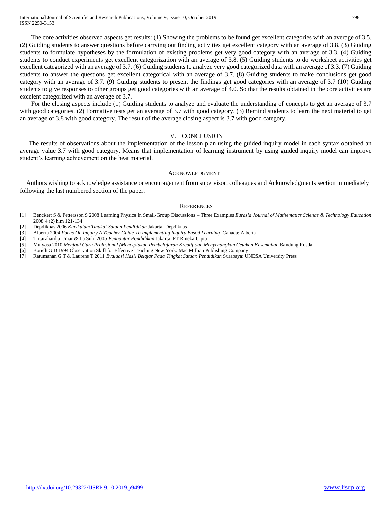The core activities observed aspects get results: (1) Showing the problems to be found get excellent categories with an average of 3.5. (2) Guiding students to answer questions before carrying out finding activities get excellent category with an average of 3.8. (3) Guiding students to formulate hypotheses by the formulation of existing problems get very good category with an average of 3.3. (4) Guiding students to conduct experiments get excellent categorization with an average of 3.8. (5) Guiding students to do worksheet activities get excellent categorized with an average of 3.7. (6) Guiding students to analyze very good categorized data with an average of 3.3. (7) Guiding students to answer the questions get excellent categorical with an average of 3.7. (8) Guiding students to make conclusions get good category with an average of 3.7. (9) Guiding students to present the findings get good categories with an average of 3.7 (10) Guiding students to give responses to other groups get good categories with an average of 4.0. So that the results obtained in the core activities are excelent categorized with an average of 3.7.

For the closing aspects include (1) Guiding students to analyze and evaluate the understanding of concepts to get an average of 3.7 with good categories. (2) Formative tests get an average of 3.7 with good category. (3) Remind students to learn the next material to get an average of 3.8 with good category. The result of the average closing aspect is 3.7 with good category.

#### IV. CONCLUSION

The results of observations about the implementation of the lesson plan using the guided inquiry model in each syntax obtained an average value 3.7 with good category. Means that implementation of learning instrument by using guided inquiry model can improve student's learning achievement on the heat material.

#### ACKNOWLEDGMENT

Authors wishing to acknowledge assistance or encouragement from supervisor, colleagues and Acknowledgments section immediately following the last numbered section of the paper.

#### **REFERENCES**

- [1] Benckert S & Pettersson S 2008 Learning Physics In Small-Group Discussions Three Examples *Eurasia Journal of Mathematics Science & Technology Education* 2008 4 (2) hlm 121-134
- [2] Depdiknas 2006 *Kurikulum Tindkat Satuan Pendidikan* Jakarta: Depdiknas
- [3] Alberta 2004 *Focus On Inquiry A Teacher Guide To Implementing Inquiry Based Learning Canada: Alberta*
- [4] Tirtarahardja Umar & La Sulo 2005 *Pengantar Pendidikan* Jakarta: PT Rineka Cipta
- [5] Mulyasa 2010 *Menjadi Guru Profesional (Menciptakan Pembelajaran Kreatif dan Menyenangkan Cetakan Kesembilan* Bandung Rosda
- [6] Borich G D 1994 Observation Skill for Effective Teaching New York: Mac Millian Publishing Company
- [7] Ratumanan G T & Laurens T 2011 *Evaluasi Hasil Belajar Pada Tingkat Satuan Pendidikan* Surabaya: UNESA University Press